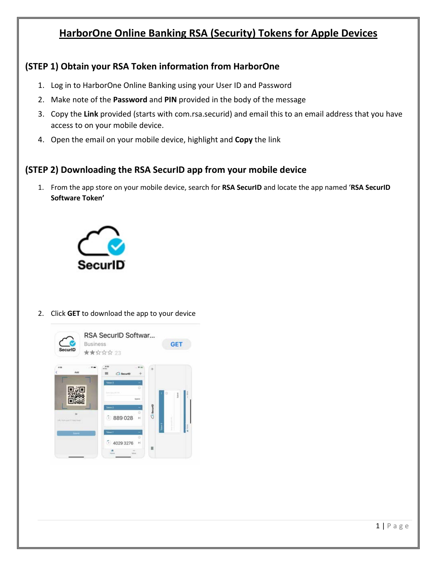# **HarborOne Online Banking RSA (Security) Tokens for Apple Devices**

## **(STEP 1) Obtain your RSA Token information from HarborOne**

- 1. Log in to HarborOne Online Banking using your User ID and Password
- 2. Make note of the **Password** and **PIN** provided in the body of the message
- 3. Copy the **Link** provided (starts with com.rsa.securid) and email this to an email address that you have access to on your mobile device.
- 4. Open the email on your mobile device, highlight and **Copy** the link

### **(STEP 2) Downloading the RSA SecurID app from your mobile device**

1. From the app store on your mobile device, search for **RSA SecurID** and locate the app named '**RSA SecurID Software Token'**



#### 2. Click **GET** to download the app to your device

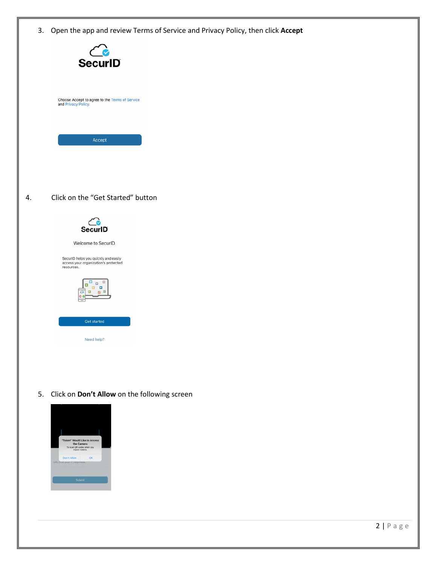3. Open the app and review Terms of Service and Privacy Policy, then click **Accept**



5. Click on **Don't Allow** on the following screen

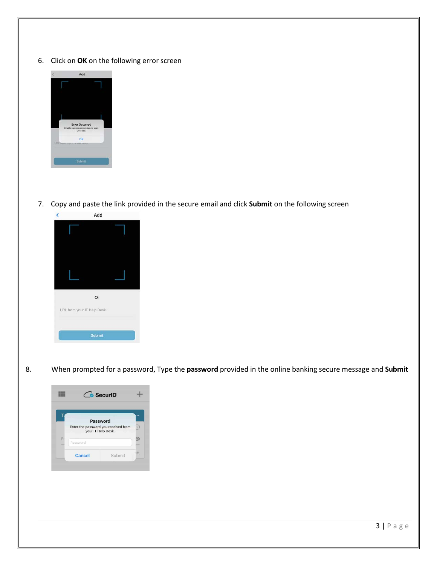6. Click on **OK** on the following error screen



7. Copy and paste the link provided in the secure email and click **Submit** on the following screen



8. When prompted for a password, Type the **password** provided in the online banking secure message and **Submit**

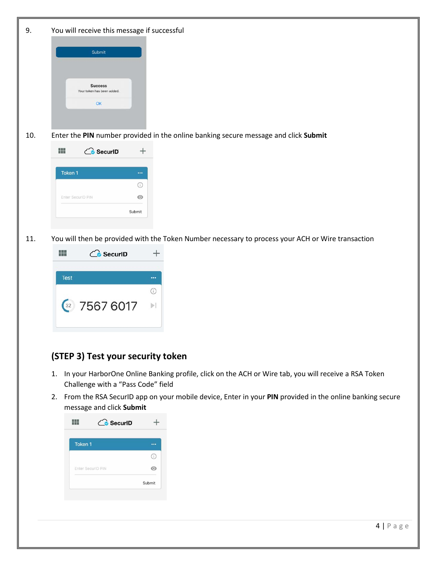| 9.  | You will receive this message if successful                                                                |
|-----|------------------------------------------------------------------------------------------------------------|
|     | Submit<br><b>Success</b><br>Your token has been added.<br>OK                                               |
| 10. | Enter the PIN number provided in the online banking secure message and click Submit                        |
|     | 鼺<br><b>C</b> SecuriD<br>$^{+}$                                                                            |
|     | Token 1<br>$\cdots$<br>⊙<br>Enter SecuriD PIN<br>$_{\odot}$<br>Submit                                      |
| 11. | You will then be provided with the Token Number necessary to process your ACH or Wire transaction          |
|     | m<br><b>C</b> SecuriD<br>$^{+}$                                                                            |
|     | Test<br><br>$\odot$<br>$\frac{32}{25676017}$<br>$\left\vert \mathbf{r}\right\vert$                         |
|     | (STEP 3) Test your security token                                                                          |
|     | In your HarborOne Online Banking profile, click on the ACH or Wire tab, you will receive a RSA Token<br>1. |
|     | Challenge with a "Pass Code" field                                                                         |
|     | 2. From the RSA SecurID app on your mobile device, Enter in your PIN provided in the online banking secure |

| message and click Submit |  |
|--------------------------|--|
|                          |  |

| Token <sub>1</sub> |        |
|--------------------|--------|
|                    | ÷      |
| Enter SecuriD PIN  |        |
|                    | Submit |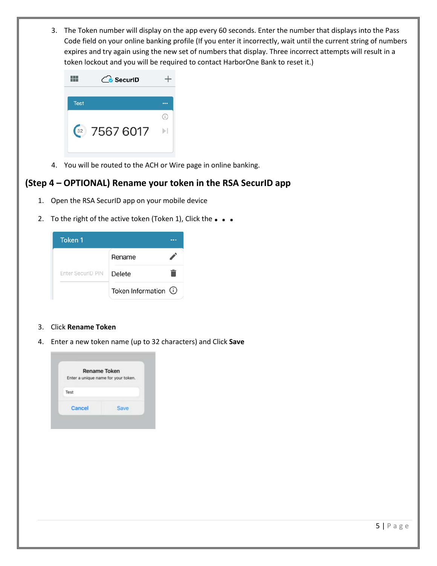3. The Token number will display on the app every 60 seconds. Enter the number that displays into the Pass Code field on your online banking profile (If you enter it incorrectly, wait until the current string of numbers expires and try again using the new set of numbers that display. Three incorrect attempts will result in a token lockout and you will be required to contact HarborOne Bank to reset it.)

|                                   | SecuriD   |  |
|-----------------------------------|-----------|--|
| <b>Test</b>                       |           |  |
|                                   |           |  |
| $\begin{array}{c} 32 \end{array}$ | 7567 6017 |  |
|                                   |           |  |

4. You will be routed to the ACH or Wire page in online banking.

### **(Step 4 – OPTIONAL) Rename your token in the RSA SecurID app**

- 1. Open the RSA SecurID app on your mobile device
- 2. To the right of the active token (Token 1), Click the **. . .**

| Token 1           |                       |  |
|-------------------|-----------------------|--|
|                   | Rename                |  |
| Enter SecurID PIN | Delete                |  |
|                   | Token Information (i) |  |

- 3. Click **Rename Token**
- 4. Enter a new token name (up to 32 characters) and Click **Save**